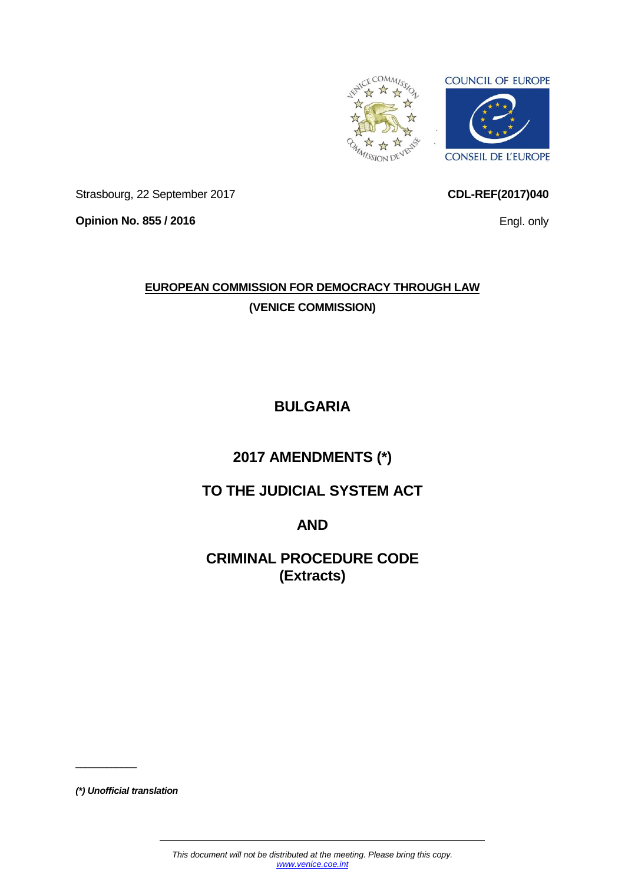

<span id="page-0-0"></span>**CDL-REF(2017)040**

Engl. only

Strasbourg, 22 September 2017

**Opinion No. 855 / 2016**

**EUROPEAN COMMISSION FOR DEMOCRACY THROUGH LAW (VENICE COMMISSION)**

# **BULGARIA**

# **2017 AMENDMENTS (\*)**

# **TO THE JUDICIAL SYSTEM ACT**

# **AND**

**CRIMINAL PROCEDURE CODE (Extracts)**

*(\*) Unofficial translation*

 $\overline{\phantom{a}}$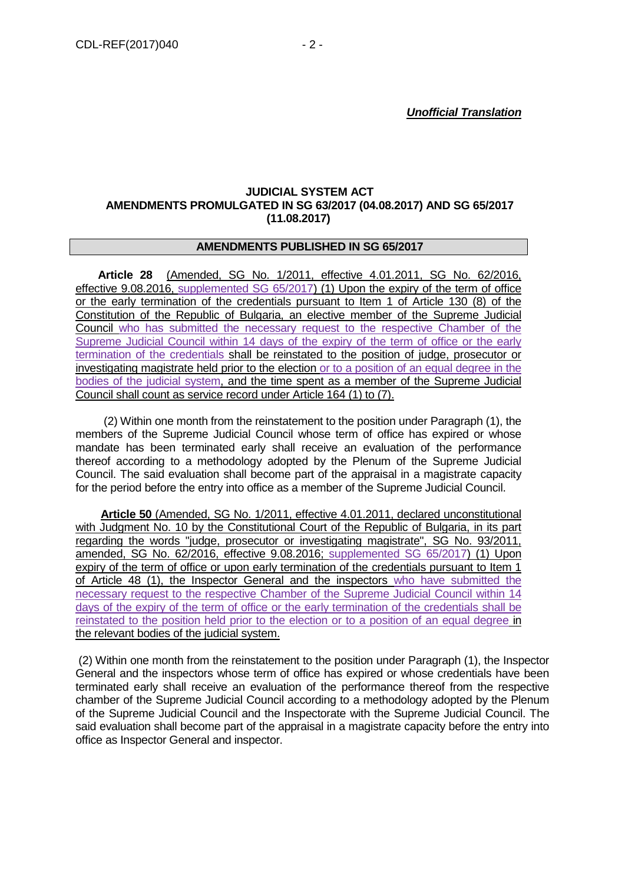#### **JUDICIAL SYSTEM ACT AMENDMENTS PROMULGATED IN SG 63/2017 (04.08.2017) AND SG 65/2017 (11.08.2017)**

#### **AMENDMENTS PUBLISHED IN SG 65/2017**

**Article 28** (Amended, SG No. 1/2011, effective 4.01.2011, SG No. 62/2016, effective 9.08.2016, supplemented SG 65/2017) (1) Upon the expiry of the term of office or the early termination of the credentials pursuant to Item 1 of Article 130 (8) of the Constitution of the Republic of Bulgaria, an elective member of the Supreme Judicial Council who has submitted the necessary request to the respective Chamber of the Supreme Judicial Council within 14 days of the expiry of the term of office or the early termination of the credentials shall be reinstated to the position of judge, prosecutor or investigating magistrate held prior to the election or to a position of an equal degree in the bodies of the judicial system, and the time spent as a member of the Supreme Judicial Council shall count as service record under Article 164 (1) to (7).

(2) Within one month from the reinstatement to the position under Paragraph (1), the members of the Supreme Judicial Council whose term of office has expired or whose mandate has been terminated early shall receive an evaluation of the performance thereof according to a methodology adopted by the Plenum of the Supreme Judicial Council. The said evaluation shall become part of the appraisal in a magistrate capacity for the period before the entry into office as a member of the Supreme Judicial Council.

**Article 50** (Amended, SG No. 1/2011, effective 4.01.2011, declared unconstitutional with Judgment No. 10 by the Constitutional Court of the Republic of Bulgaria, in its part regarding the words "judge, prosecutor or investigating magistrate", SG No. 93/2011, amended, SG No. 62/2016, effective 9.08.2016; supplemented SG 65/2017) (1) Upon expiry of the term of office or upon early termination of the credentials pursuant to Item 1 of Article 48 (1), the Inspector General and the inspectors who have submitted the necessary request to the respective Chamber of the Supreme Judicial Council within 14 days of the expiry of the term of office or the early termination of the credentials shall be reinstated to the position held prior to the election or to a position of an equal degree in the relevant bodies of the judicial system.

(2) Within one month from the reinstatement to the position under Paragraph (1), the Inspector General and the inspectors whose term of office has expired or whose credentials have been terminated early shall receive an evaluation of the performance thereof from the respective chamber of the Supreme Judicial Council according to a methodology adopted by the Plenum of the Supreme Judicial Council and the Inspectorate with the Supreme Judicial Council. The said evaluation shall become part of the appraisal in a magistrate capacity before the entry into office as Inspector General and inspector.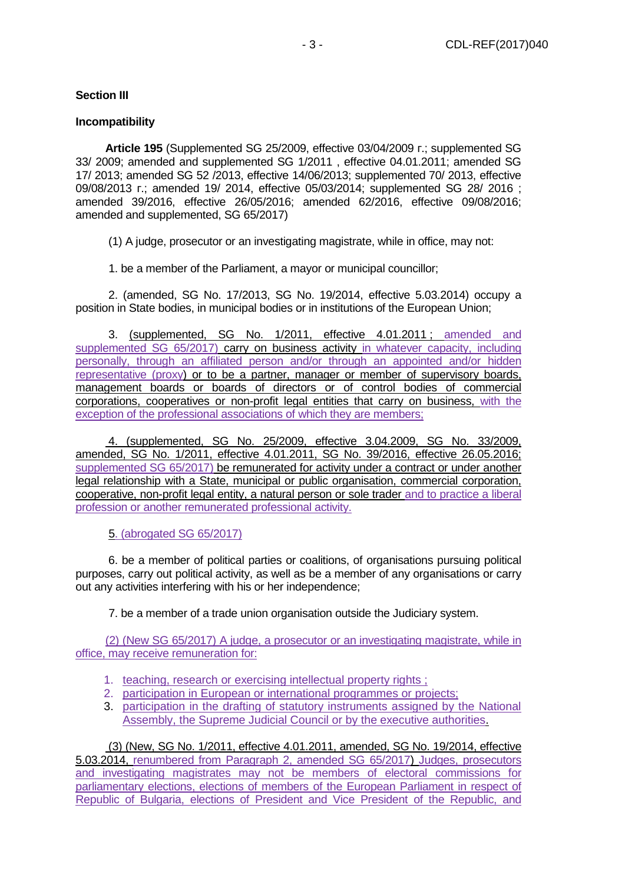## **Section III**

### **Incompatibility**

**Article 195** (Supplemented SG 25/2009, effective 03/04/2009 г.; supplemented SG 33/ 2009; amended and supplemented SG 1/2011 , effective 04.01.2011; amended SG 17/ 2013; amended SG 52 /2013, effective 14/06/2013; supplemented 70/ 2013, effective 09/08/2013 г.; amended 19/ 2014, effective 05/03/2014; supplemented SG 28/ 2016 ; amended 39/2016, effective 26/05/2016; amended 62/2016, effective 09/08/2016; amended and supplemented, SG 65/2017)

(1) A judge, prosecutor or an investigating magistrate, while in office, may not:

1. be a member of the Parliament, a mayor or municipal councillor;

2. (amended, SG No. 17/2013, SG No. 19/2014, effective 5.03.2014) occupy a position in State bodies, in municipal bodies or in institutions of the European Union;

3. (supplemented, SG No. 1/2011, effective 4.01.2011 ; amended and supplemented SG 65/2017) carry on business activity in whatever capacity, including personally, through an affiliated person and/or through an appointed and/or hidden representative (proxy) or to be a partner, manager or member of supervisory boards, management boards or boards of directors or of control bodies of commercial corporations, cooperatives or non-profit legal entities that carry on business, with the exception of the professional associations of which they are members;

4. (supplemented, SG No. 25/2009, effective 3.04.2009, SG No. 33/2009, amended, SG No. 1/2011, effective 4.01.2011, SG No. 39/2016, effective 26.05.2016; supplemented SG 65/2017) be remunerated for activity under a contract or under another legal relationship with a State, municipal or public organisation, commercial corporation, cooperative, non-profit legal entity, a natural person or sole trader and to practice a liberal profession or another remunerated professional activity.

5. (abrogated SG 65/2017)

6. be a member of political parties or coalitions, of organisations pursuing political purposes, carry out political activity, as well as be a member of any organisations or carry out any activities interfering with his or her independence;

7. be a member of a trade union organisation outside the Judiciary system.

(2) (New SG 65/2017) A judge, a prosecutor or an investigating magistrate, while in office, may receive remuneration for:

- 1. teaching, research or exercising intellectual property rights ;
- 2. participation in European or international programmes or projects;
- 3. participation in the drafting of statutory instruments assigned by the National Assembly, the Supreme Judicial Council or by the executive authorities.

### (3) (New, SG No. 1/2011, effective 4.01.2011, amended, SG No. 19/2014, effective

5.03.2014, renumbered from Paragraph 2, amended SG 65/2017) Judges, prosecutors and investigating magistrates may not be members of electoral commissions for parliamentary elections, elections of members of the European Parliament in respect of Republic of Bulgaria, elections of President and Vice President of the Republic, and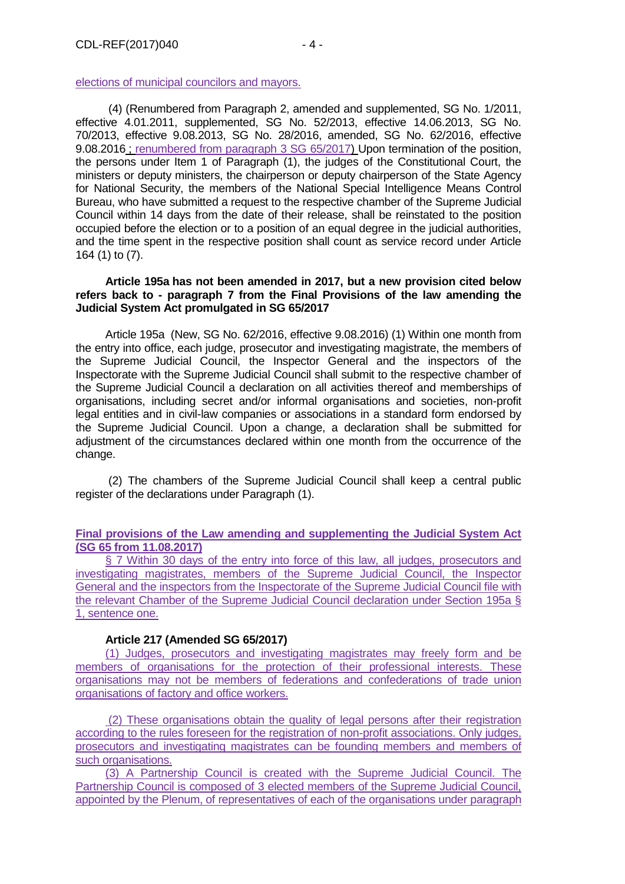elections of municipal councilors and mayors.

(4) (Renumbered from Paragraph 2, amended and supplemented, SG No. 1/2011, effective 4.01.2011, supplemented, SG No. 52/2013, effective 14.06.2013, SG No. 70/2013, effective 9.08.2013, SG No. 28/2016, amended, SG No. 62/2016, effective 9.08.2016 ; renumbered from paragraph 3 SG 65/2017) Upon termination of the position, the persons under Item 1 of Paragraph (1), the judges of the Constitutional Court, the ministers or deputy ministers, the chairperson or deputy chairperson of the State Agency for National Security, the members of the National Special Intelligence Means Control Bureau, who have submitted a request to the respective chamber of the Supreme Judicial Council within 14 days from the date of their release, shall be reinstated to the position occupied before the election or to a position of an equal degree in the judicial authorities, and the time spent in the respective position shall count as service record under Article 164 (1) to (7).

#### **Article 195a has not been amended in 2017, but a new provision cited below refers back to - paragraph 7 from the Final Provisions of the law amending the Judicial System Act promulgated in SG 65/2017**

Article 195a (New, SG No. 62/2016, effective 9.08.2016) (1) Within one month from the entry into office, each judge, prosecutor and investigating magistrate, the members of the Supreme Judicial Council, the Inspector General and the inspectors of the Inspectorate with the Supreme Judicial Council shall submit to the respective chamber of the Supreme Judicial Council a declaration on all activities thereof and memberships of organisations, including secret and/or informal organisations and societies, non-profit legal entities and in civil-law companies or associations in a standard form endorsed by the Supreme Judicial Council. Upon a change, a declaration shall be submitted for adjustment of the circumstances declared within one month from the occurrence of the change.

(2) The chambers of the Supreme Judicial Council shall keep a central public register of the declarations under Paragraph (1).

#### **Final provisions of the Law amending and supplementing the Judicial System Act (SG 65 from 11.08.2017)**

§ 7 Within 30 days of the entry into force of this law, all judges, prosecutors and investigating magistrates, members of the Supreme Judicial Council, the Inspector General and the inspectors from the Inspectorate of the Supreme Judicial Council file with the relevant Chamber of the Supreme Judicial Council declaration under Section 195a § 1, sentence one.

#### **Article 217 (Amended SG 65/2017)**

(1) Judges, prosecutors and investigating magistrates may freely form and be members of organisations for the protection of their professional interests. These organisations may not be members of federations and confederations of trade union organisations of factory and office workers.

(2) These organisations obtain the quality of legal persons after their registration according to the rules foreseen for the registration of non-profit associations. Only judges, prosecutors and investigating magistrates can be founding members and members of such organisations.

(3) A Partnership Council is created with the Supreme Judicial Council. The Partnership Council is composed of 3 elected members of the Supreme Judicial Council, appointed by the Plenum, of representatives of each of the organisations under paragraph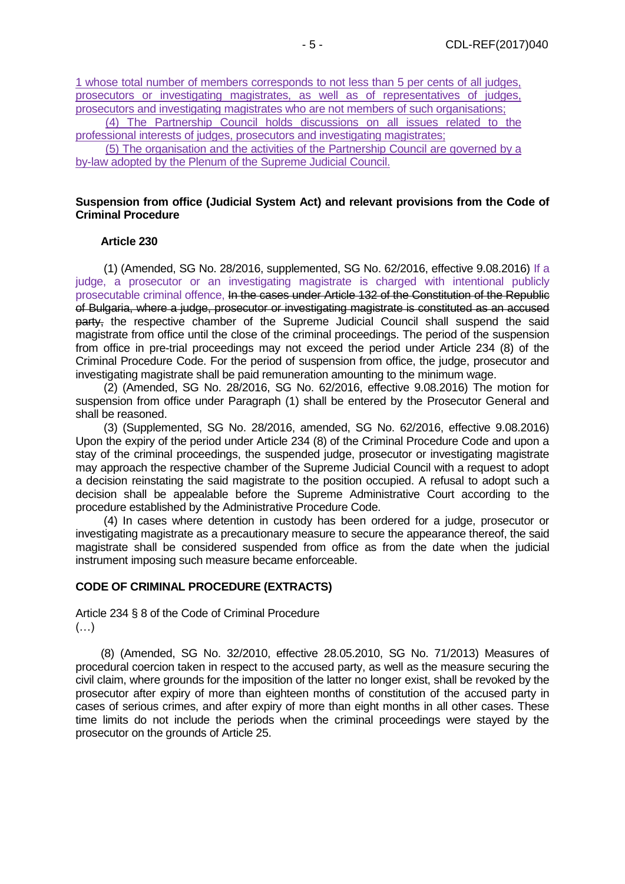1 whose total number of members corresponds to not less than 5 per cents of all judges, prosecutors or investigating magistrates, as well as of representatives of judges, prosecutors and investigating magistrates who are not members of such organisations;

(4) The Partnership Council holds discussions on all issues related to the professional interests of judges, prosecutors and investigating magistrates;

(5) The organisation and the activities of the Partnership Council are governed by a by-law adopted by the Plenum of the Supreme Judicial Council.

#### **Suspension from office (Judicial System Act) and relevant provisions from the Code of Criminal Procedure**

#### **Article 230**

(1) (Amended, SG No. 28/2016, supplemented, SG No. 62/2016, effective 9.08.2016) If a judge, a prosecutor or an investigating magistrate is charged with intentional publicly prosecutable criminal offence, In the cases under Article 132 of the Constitution of the Republic of Bulgaria, where a judge, prosecutor or investigating magistrate is constituted as an accused party, the respective chamber of the Supreme Judicial Council shall suspend the said magistrate from office until the close of the criminal proceedings. The period of the suspension from office in pre-trial proceedings may not exceed the period under Article 234 (8) of the Criminal Procedure Code. For the period of suspension from office, the judge, prosecutor and investigating magistrate shall be paid remuneration amounting to the minimum wage.

(2) (Amended, SG No. 28/2016, SG No. 62/2016, effective 9.08.2016) The motion for suspension from office under Paragraph (1) shall be entered by the Prosecutor General and shall be reasoned.

(3) (Supplemented, SG No. 28/2016, amended, SG No. 62/2016, effective 9.08.2016) Upon the expiry of the period under Article 234 (8) of the Criminal Procedure Code and upon a stay of the criminal proceedings, the suspended judge, prosecutor or investigating magistrate may approach the respective chamber of the Supreme Judicial Council with a request to adopt a decision reinstating the said magistrate to the position occupied. A refusal to adopt such a decision shall be appealable before the Supreme Administrative Court according to the procedure established by the Administrative Procedure Code.

(4) In cases where detention in custody has been ordered for a judge, prosecutor or investigating magistrate as a precautionary measure to secure the appearance thereof, the said magistrate shall be considered suspended from office as from the date when the judicial instrument imposing such measure became enforceable.

#### **CODE OF CRIMINAL PROCEDURE (EXTRACTS)**

Article 234 § 8 of the Code of Criminal Procedure  $(\ldots)$ 

(8) (Amended, SG No. 32/2010, effective 28.05.2010, SG No. 71/2013) Measures of procedural coercion taken in respect to the accused party, as well as the measure securing the civil claim, where grounds for the imposition of the latter no longer exist, shall be revoked by the prosecutor after expiry of more than eighteen months of constitution of the accused party in cases of serious crimes, and after expiry of more than eight months in all other cases. These time limits do not include the periods when the criminal proceedings were stayed by the prosecutor on the grounds of Article 25.